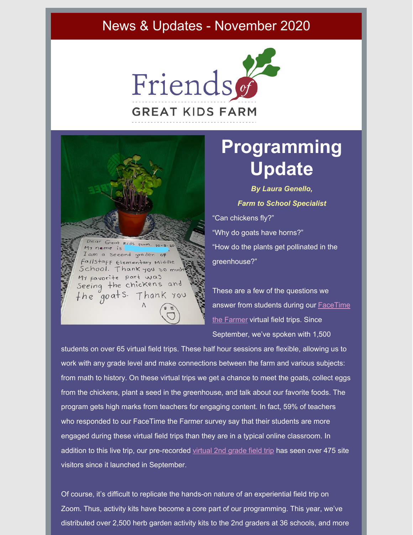## News & Updates - November 2020



Kids farm. 10-5-20 me is Second grader. OF taff Elementary Middle Thank you so mu Favorite part was Seeing the chickens and the goats. Thank you

## **Programming Update**

*By Laura Genello, Farm to School Specialist* "Can chickens fly?" "Why do goats have horns?" "How do the plants get pollinated in the greenhouse?"

These are a few of the questions we answer from students during our [FaceTime](http://bit.ly/GKFfacetime) the Farmer virtual field trips. Since September, we've spoken with 1,500

students on over 65 virtual field trips. These half hour sessions are flexible, allowing us to work with any grade level and make connections between the farm and various subjects: from math to history. On these virtual trips we get a chance to meet the goats, collect eggs from the chickens, plant a seed in the greenhouse, and talk about our favorite foods. The program gets high marks from teachers for engaging content. In fact, 59% of teachers who responded to our FaceTime the Farmer survey say that their students are more engaged during these virtual field trips than they are in a typical online classroom. In addition to this live trip, our pre-recorded [virtual](https://prezi.com/view/nRknHwnQPxL5uIa798Eq/) 2nd grade field trip has seen over 475 site visitors since it launched in September.

Of course, it's difficult to replicate the hands-on nature of an experiential field trip on Zoom. Thus, activity kits have become a core part of our programming. This year, we've distributed over 2,500 herb garden activity kits to the 2nd graders at 36 schools, and more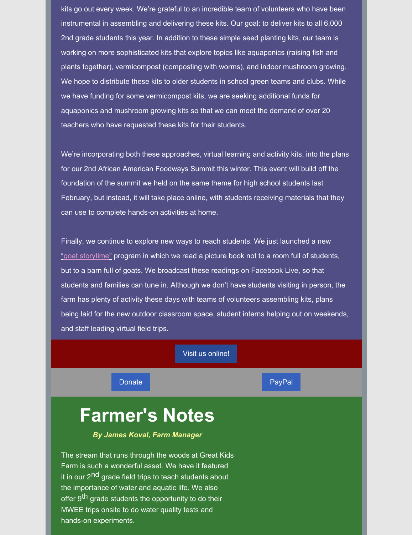kits go out every week. We're grateful to an incredible team of volunteers who have been instrumental in assembling and delivering these kits. Our goal: to deliver kits to all 6,000 2nd grade students this year. In addition to these simple seed planting kits, our team is working on more sophisticated kits that explore topics like aquaponics (raising fish and plants together), vermicompost (composting with worms), and indoor mushroom growing. We hope to distribute these kits to older students in school green teams and clubs. While we have funding for some vermicompost kits, we are seeking additional funds for aquaponics and mushroom growing kits so that we can meet the demand of over 20 teachers who have requested these kits for their students.

We're incorporating both these approaches, virtual learning and activity kits, into the plans for our 2nd African American Foodways Summit this winter. This event will build off the foundation of the summit we held on the same theme for high school students last February, but instead, it will take place online, with students receiving materials that they can use to complete hands-on activities at home.

Finally, we continue to explore new ways to reach students. We just launched a new ["](https://www.facebook.com/friendsofgreatkidsfarm/live)goat [storytime"](https://www.facebook.com/friendsofgreatkidsfarm/live) program in which we read a picture book not to a room full of students, but to a barn full of goats. We broadcast these readings on Facebook Live, so that students and families can tune in. Although we don't have students visiting in person, the farm has plenty of activity these days with teams of volunteers assembling kits, plans being laid for the new outdoor classroom space, student interns helping out on weekends, and staff leading virtual field trips.

#### Visit us [online!](http://www.friendsgkf.org)

[Donate](https://app.etapestry.com/onlineforms/FriendsofGreatKidsFarm/onlinegiving.html) **[PayPal](https://www.paypal.com/donate/?cmd=_s-xclick&hosted_button_id=R72TZC4Q9GUGA&source=url)** 

## **Farmer's Notes**

#### *By James Koval, Farm Manager*

The stream that runs through the woods at Great Kids Farm is such a wonderful asset. We have it featured it in our 2<sup>nd</sup> grade field trips to teach students about the importance of water and aquatic life. We also offer 9<sup>th</sup> grade students the opportunity to do their MWEE trips onsite to do water quality tests and hands-on experiments.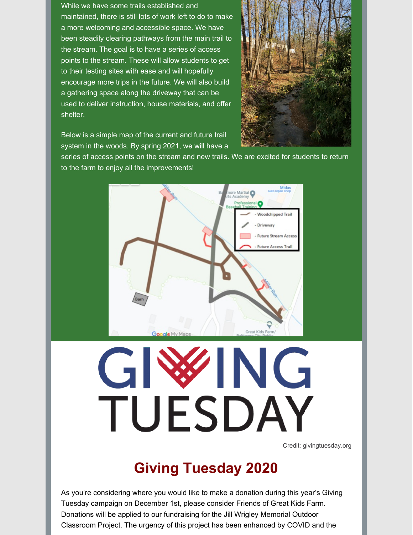While we have some trails established and maintained, there is still lots of work left to do to make a more welcoming and accessible space. We have been steadily clearing pathways from the main trail to the stream. The goal is to have a series of access points to the stream. These will allow students to get to their testing sites with ease and will hopefully encourage more trips in the future. We will also build a gathering space along the driveway that can be used to deliver instruction, house materials, and offer shelter.



Below is a simple map of the current and future trail system in the woods. By spring 2021, we will have a

series of access points on the stream and new trails. We are excited for students to return to the farm to enjoy all the improvements!



# NG G TUESDAY

Credit: givingtuesday.org

## **Giving Tuesday 2020**

As you're considering where you would like to make a donation during this year's Giving Tuesday campaign on December 1st, please consider Friends of Great Kids Farm. Donations will be applied to our fundraising for the Jill Wrigley Memorial Outdoor Classroom Project. The urgency of this project has been enhanced by COVID and the